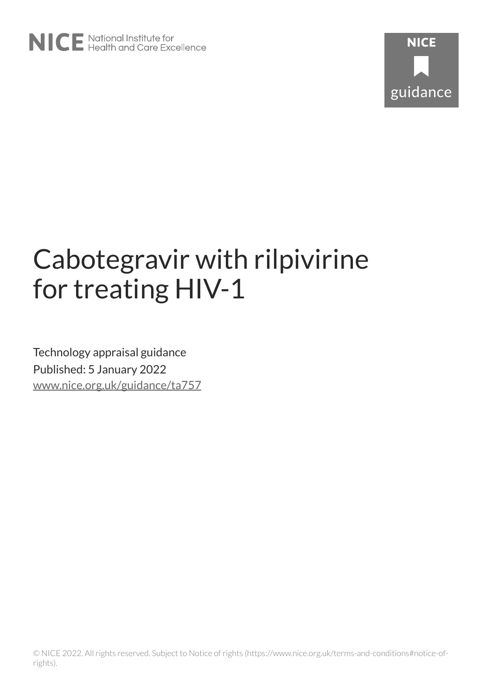

# Cabotegravir with rilpivirine for treating HIV-1

Technology appraisal guidance Published: 5 January 2022 [www.nice.org.uk/guidance/ta757](https://www.nice.org.uk/guidance/ta757)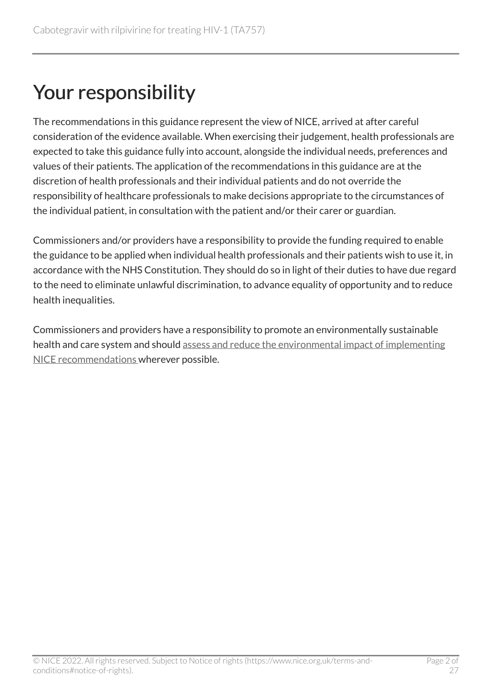### Your responsibility

The recommendations in this guidance represent the view of NICE, arrived at after careful consideration of the evidence available. When exercising their judgement, health professionals are expected to take this guidance fully into account, alongside the individual needs, preferences and values of their patients. The application of the recommendations in this guidance are at the discretion of health professionals and their individual patients and do not override the responsibility of healthcare professionals to make decisions appropriate to the circumstances of the individual patient, in consultation with the patient and/or their carer or guardian.

Commissioners and/or providers have a responsibility to provide the funding required to enable the guidance to be applied when individual health professionals and their patients wish to use it, in accordance with the NHS Constitution. They should do so in light of their duties to have due regard to the need to eliminate unlawful discrimination, to advance equality of opportunity and to reduce health inequalities.

Commissioners and providers have a responsibility to promote an environmentally sustainable health and care system and should [assess and reduce the environmental impact of implementing](https://www.nice.org.uk/about/who-we-are/sustainability)  [NICE recommendations w](https://www.nice.org.uk/about/who-we-are/sustainability)herever possible.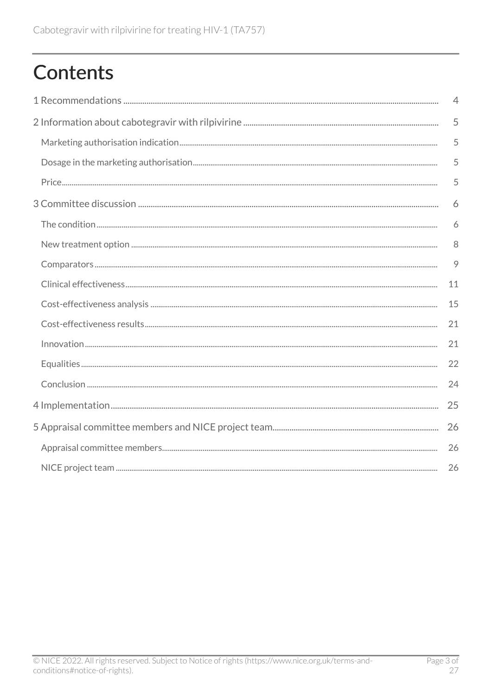## **Contents**

| $\overline{4}$ |
|----------------|
| 5              |
| 5              |
| 5              |
| 5              |
| 6              |
| 6              |
| 8              |
| 9              |
| 11             |
| 15             |
| 21             |
| 21             |
| 22             |
| 24             |
| 25             |
| 26             |
| 26             |
| 26             |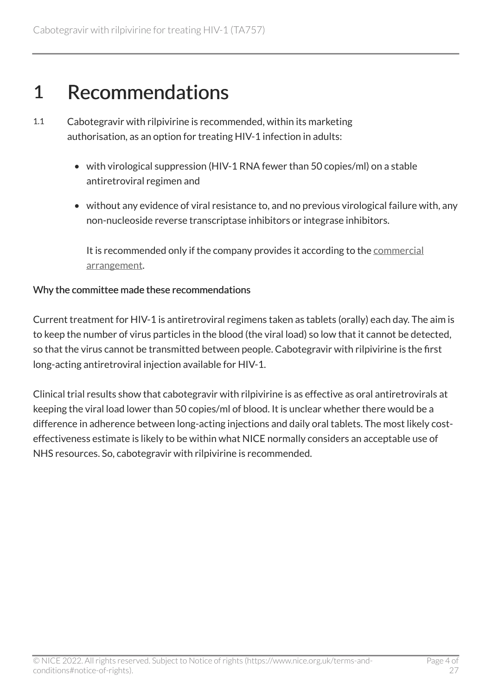### <span id="page-3-0"></span>1 Recommendations

- 1.1 Cabotegravir with rilpivirine is recommended, within its marketing authorisation, as an option for treating HIV-1 infection in adults:
	- with virological suppression (HIV-1 RNA fewer than 50 copies/ml) on a stable antiretroviral regimen and
	- without any evidence of viral resistance to, and no previous virological failure with, any non-nucleoside reverse transcriptase inhibitors or integrase inhibitors.

It is recommended only if the company provides it according to the [commercial](https://www.nice.org.uk/guidance/ta757) [arrangement.](https://www.nice.org.uk/guidance/ta757)

#### Why the committee made these recommendations

Current treatment for HIV-1 is antiretroviral regimens taken as tablets (orally) each day. The aim is to keep the number of virus particles in the blood (the viral load) so low that it cannot be detected, so that the virus cannot be transmitted between people. Cabotegravir with rilpivirine is the first long-acting antiretroviral injection available for HIV-1.

Clinical trial results show that cabotegravir with rilpivirine is as effective as oral antiretrovirals at keeping the viral load lower than 50 copies/ml of blood. It is unclear whether there would be a difference in adherence between long-acting injections and daily oral tablets. The most likely costeffectiveness estimate is likely to be within what NICE normally considers an acceptable use of NHS resources. So, cabotegravir with rilpivirine is recommended.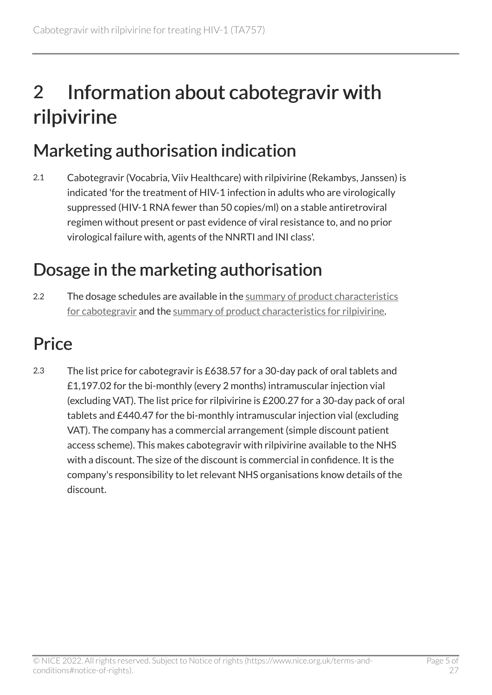## <span id="page-4-0"></span>2 Information about cabotegravir with rilpivirine

### <span id="page-4-1"></span>Marketing authorisation indication

2.1 Cabotegravir (Vocabria, Viiv Healthcare) with rilpivirine (Rekambys, Janssen) is indicated 'for the treatment of HIV-1 infection in adults who are virologically suppressed (HIV-1 RNA fewer than 50 copies/ml) on a stable antiretroviral regimen without present or past evidence of viral resistance to, and no prior virological failure with, agents of the NNRTI and INI class'.

### <span id="page-4-2"></span>Dosage in the marketing authorisation

2.2 The dosage schedules are available in the summary of product characteristics [for cabotegravir](https://www.ema.europa.eu/en/documents/product-information/vocabria-epar-product-information_en.pdf) and the [summary of product characteristics for rilpivirine](https://www.ema.europa.eu/en/documents/product-information/rekambys-epar-product-information_en.pdf).

### <span id="page-4-3"></span>**Price**

2.3 The list price for cabotegravir is £638.57 for a 30-day pack of oral tablets and £1,197.02 for the bi-monthly (every 2 months) intramuscular injection vial (excluding VAT). The list price for rilpivirine is £200.27 for a 30-day pack of oral tablets and £440.47 for the bi-monthly intramuscular injection vial (excluding VAT). The company has a commercial arrangement (simple discount patient access scheme). This makes cabotegravir with rilpivirine available to the NHS with a discount. The size of the discount is commercial in confidence. It is the company's responsibility to let relevant NHS organisations know details of the discount.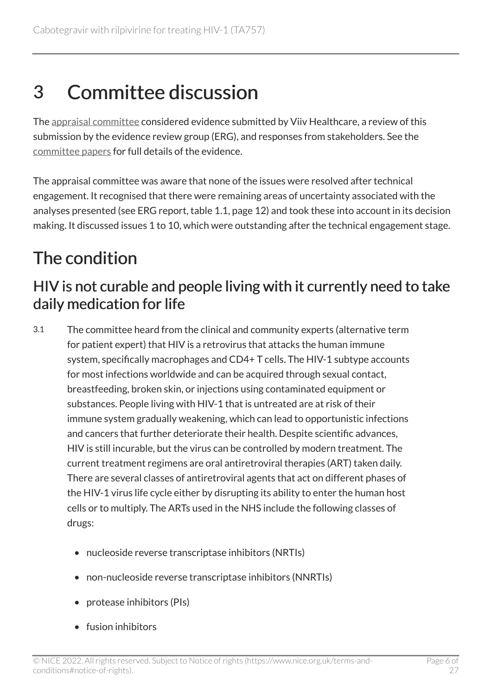### <span id="page-5-0"></span>3 Committee discussion

The [appraisal committee](#page-25-1) considered evidence submitted by Viiv Healthcare, a review of this submission by the evidence review group (ERG), and responses from stakeholders. See the [committee papers](https://www.nice.org.uk/guidance/TA757/evidence) for full details of the evidence.

The appraisal committee was aware that none of the issues were resolved after technical engagement. It recognised that there were remaining areas of uncertainty associated with the analyses presented (see ERG report, table 1.1, page 12) and took these into account in its decision making. It discussed issues 1 to 10, which were outstanding after the technical engagement stage.

### <span id="page-5-1"></span>The condition

### HIV is not curable and people living with it currently need to take daily medication for life

- 3.1 The committee heard from the clinical and community experts (alternative term for patient expert) that HIV is a retrovirus that attacks the human immune system, specifically macrophages and CD4+ T cells. The HIV-1 subtype accounts for most infections worldwide and can be acquired through sexual contact, breastfeeding, broken skin, or injections using contaminated equipment or substances. People living with HIV-1 that is untreated are at risk of their immune system gradually weakening, which can lead to opportunistic infections and cancers that further deteriorate their health. Despite scientific advances, HIV is still incurable, but the virus can be controlled by modern treatment. The current treatment regimens are oral antiretroviral therapies (ART) taken daily. There are several classes of antiretroviral agents that act on different phases of the HIV-1 virus life cycle either by disrupting its ability to enter the human host cells or to multiply. The ARTs used in the NHS include the following classes of drugs:
	- nucleoside reverse transcriptase inhibitors (NRTIs)
	- non-nucleoside reverse transcriptase inhibitors (NNRTIs)
	- protease inhibitors (PIs)
	- fusion inhibitors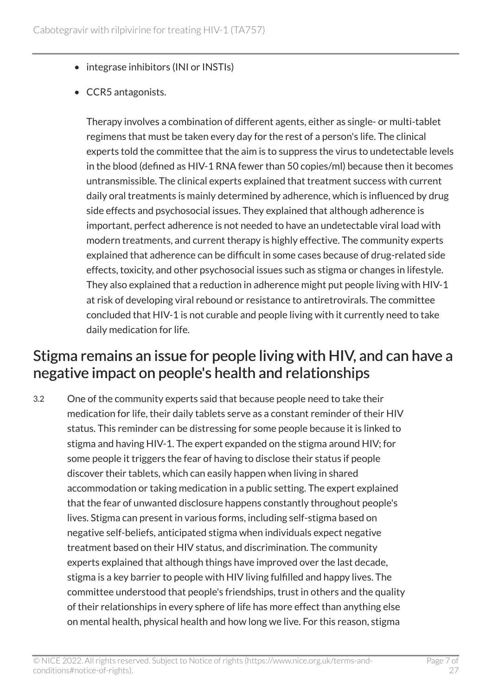- integrase inhibitors (INI or INSTIs)
- CCR5 antagonists.

Therapy involves a combination of different agents, either as single- or multi-tablet regimens that must be taken every day for the rest of a person's life. The clinical experts told the committee that the aim is to suppress the virus to undetectable levels in the blood (defined as HIV-1 RNA fewer than 50 copies/ml) because then it becomes untransmissible. The clinical experts explained that treatment success with current daily oral treatments is mainly determined by adherence, which is influenced by drug side effects and psychosocial issues. They explained that although adherence is important, perfect adherence is not needed to have an undetectable viral load with modern treatments, and current therapy is highly effective. The community experts explained that adherence can be difficult in some cases because of drug-related side effects, toxicity, and other psychosocial issues such as stigma or changes in lifestyle. They also explained that a reduction in adherence might put people living with HIV-1 at risk of developing viral rebound or resistance to antiretrovirals. The committee concluded that HIV-1 is not curable and people living with it currently need to take daily medication for life.

### <span id="page-6-0"></span>Stigma remains an issue for people living with HIV, and can have a negative impact on people's health and relationships

3.2 One of the community experts said that because people need to take their medication for life, their daily tablets serve as a constant reminder of their HIV status. This reminder can be distressing for some people because it is linked to stigma and having HIV-1. The expert expanded on the stigma around HIV; for some people it triggers the fear of having to disclose their status if people discover their tablets, which can easily happen when living in shared accommodation or taking medication in a public setting. The expert explained that the fear of unwanted disclosure happens constantly throughout people's lives. Stigma can present in various forms, including self-stigma based on negative self-beliefs, anticipated stigma when individuals expect negative treatment based on their HIV status, and discrimination. The community experts explained that although things have improved over the last decade, stigma is a key barrier to people with HIV living fulfilled and happy lives. The committee understood that people's friendships, trust in others and the quality of their relationships in every sphere of life has more effect than anything else on mental health, physical health and how long we live. For this reason, stigma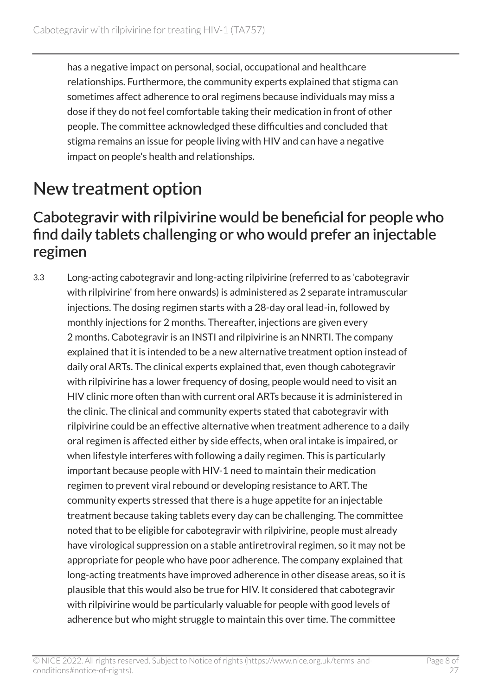has a negative impact on personal, social, occupational and healthcare relationships. Furthermore, the community experts explained that stigma can sometimes affect adherence to oral regimens because individuals may miss a dose if they do not feel comfortable taking their medication in front of other people. The committee acknowledged these difficulties and concluded that stigma remains an issue for people living with HIV and can have a negative impact on people's health and relationships.

### <span id="page-7-0"></span>New treatment option

#### Cabotegravir with rilpivirine would be beneficial for people who find daily tablets challenging or who would prefer an injectable regimen

3.3 Long-acting cabotegravir and long-acting rilpivirine (referred to as 'cabotegravir with rilpivirine' from here onwards) is administered as 2 separate intramuscular injections. The dosing regimen starts with a 28-day oral lead-in, followed by monthly injections for 2 months. Thereafter, injections are given every 2 months. Cabotegravir is an INSTI and rilpivirine is an NNRTI. The company explained that it is intended to be a new alternative treatment option instead of daily oral ARTs. The clinical experts explained that, even though cabotegravir with rilpivirine has a lower frequency of dosing, people would need to visit an HIV clinic more often than with current oral ARTs because it is administered in the clinic. The clinical and community experts stated that cabotegravir with rilpivirine could be an effective alternative when treatment adherence to a daily oral regimen is affected either by side effects, when oral intake is impaired, or when lifestyle interferes with following a daily regimen. This is particularly important because people with HIV-1 need to maintain their medication regimen to prevent viral rebound or developing resistance to ART. The community experts stressed that there is a huge appetite for an injectable treatment because taking tablets every day can be challenging. The committee noted that to be eligible for cabotegravir with rilpivirine, people must already have virological suppression on a stable antiretroviral regimen, so it may not be appropriate for people who have poor adherence. The company explained that long-acting treatments have improved adherence in other disease areas, so it is plausible that this would also be true for HIV. It considered that cabotegravir with rilpivirine would be particularly valuable for people with good levels of adherence but who might struggle to maintain this over time. The committee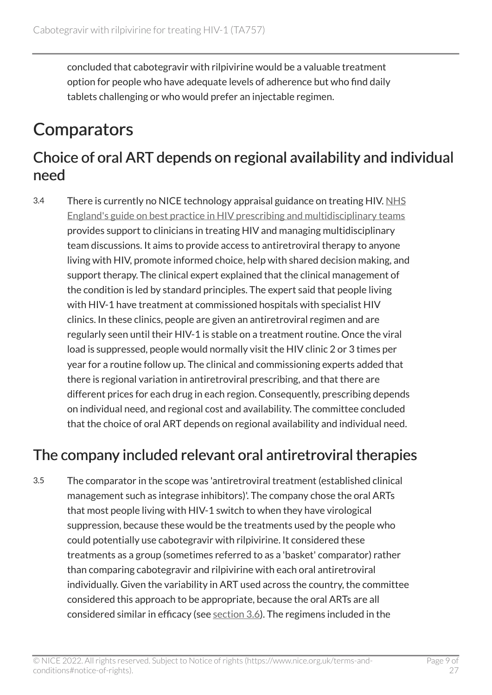concluded that cabotegravir with rilpivirine would be a valuable treatment option for people who have adequate levels of adherence but who find daily tablets challenging or who would prefer an injectable regimen.

### <span id="page-8-0"></span>**Comparators**

### Choice of oral ART depends on regional availability and individual need

3.4 There is currently no NICE technology appraisal guidance on treating HIV. [NHS](https://www.england.nhs.uk/commissioning/spec-services/npc-crg/blood-and-infection-group-f/f03/) [England's guide on best practice in HIV prescribing and multidisciplinary teams](https://www.england.nhs.uk/commissioning/spec-services/npc-crg/blood-and-infection-group-f/f03/) provides support to clinicians in treating HIV and managing multidisciplinary team discussions. It aims to provide access to antiretroviral therapy to anyone living with HIV, promote informed choice, help with shared decision making, and support therapy. The clinical expert explained that the clinical management of the condition is led by standard principles. The expert said that people living with HIV-1 have treatment at commissioned hospitals with specialist HIV clinics. In these clinics, people are given an antiretroviral regimen and are regularly seen until their HIV-1 is stable on a treatment routine. Once the viral load is suppressed, people would normally visit the HIV clinic 2 or 3 times per year for a routine follow up. The clinical and commissioning experts added that there is regional variation in antiretroviral prescribing, and that there are different prices for each drug in each region. Consequently, prescribing depends on individual need, and regional cost and availability. The committee concluded that the choice of oral ART depends on regional availability and individual need.

### <span id="page-8-1"></span>The company included relevant oral antiretroviral therapies

3.5 The comparator in the scope was 'antiretroviral treatment (established clinical management such as integrase inhibitors)'. The company chose the oral ARTs that most people living with HIV-1 switch to when they have virological suppression, because these would be the treatments used by the people who could potentially use cabotegravir with rilpivirine. It considered these treatments as a group (sometimes referred to as a 'basket' comparator) rather than comparing cabotegravir and rilpivirine with each oral antiretroviral individually. Given the variability in ART used across the country, the committee considered this approach to be appropriate, because the oral ARTs are all considered similar in efficacy (see [section](#page-9-0) 3.6). The regimens included in the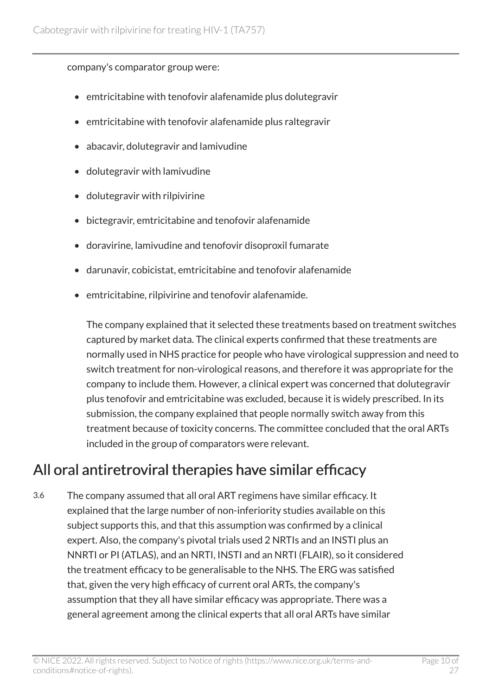#### company's comparator group were:

- emtricitabine with tenofovir alafenamide plus dolutegravir
- emtricitabine with tenofovir alafenamide plus raltegravir
- abacavir, dolutegravir and lamivudine
- dolutegravir with lamivudine
- dolutegravir with rilpivirine
- bictegravir, emtricitabine and tenofovir alafenamide
- doravirine, lamivudine and tenofovir disoproxil fumarate
- darunavir, cobicistat, emtricitabine and tenofovir alafenamide
- emtricitabine, rilpivirine and tenofovir alafenamide.

The company explained that it selected these treatments based on treatment switches captured by market data. The clinical experts confirmed that these treatments are normally used in NHS practice for people who have virological suppression and need to switch treatment for non-virological reasons, and therefore it was appropriate for the company to include them. However, a clinical expert was concerned that dolutegravir plus tenofovir and emtricitabine was excluded, because it is widely prescribed. In its submission, the company explained that people normally switch away from this treatment because of toxicity concerns. The committee concluded that the oral ARTs included in the group of comparators were relevant.

### <span id="page-9-0"></span>All oral antiretroviral therapies have similar efficacy

3.6 The company assumed that all oral ART regimens have similar efficacy. It explained that the large number of non-inferiority studies available on this subject supports this, and that this assumption was confirmed by a clinical expert. Also, the company's pivotal trials used 2 NRTIs and an INSTI plus an NNRTI or PI (ATLAS), and an NRTI, INSTI and an NRTI (FLAIR), so it considered the treatment efficacy to be generalisable to the NHS. The ERG was satisfied that, given the very high efficacy of current oral ARTs, the company's assumption that they all have similar efficacy was appropriate. There was a general agreement among the clinical experts that all oral ARTs have similar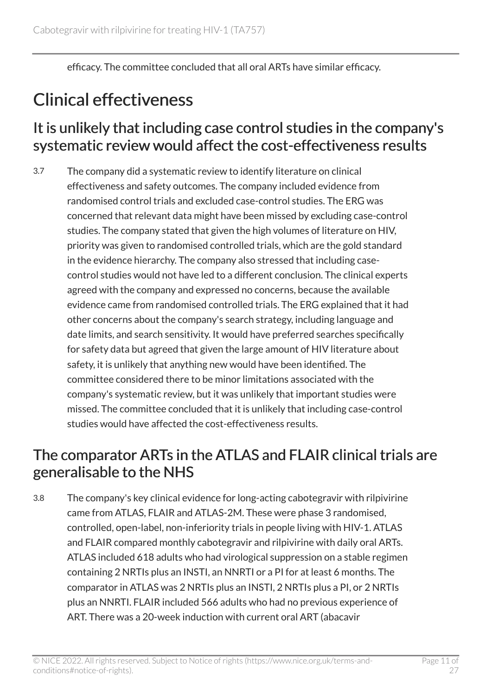efficacy. The committee concluded that all oral ARTs have similar efficacy.

### <span id="page-10-0"></span>Clinical effectiveness

#### It is unlikely that including case control studies in the company's systematic review would affect the cost-effectiveness results

3.7 The company did a systematic review to identify literature on clinical effectiveness and safety outcomes. The company included evidence from randomised control trials and excluded case-control studies. The ERG was concerned that relevant data might have been missed by excluding case-control studies. The company stated that given the high volumes of literature on HIV, priority was given to randomised controlled trials, which are the gold standard in the evidence hierarchy. The company also stressed that including casecontrol studies would not have led to a different conclusion. The clinical experts agreed with the company and expressed no concerns, because the available evidence came from randomised controlled trials. The ERG explained that it had other concerns about the company's search strategy, including language and date limits, and search sensitivity. It would have preferred searches specifically for safety data but agreed that given the large amount of HIV literature about safety, it is unlikely that anything new would have been identified. The committee considered there to be minor limitations associated with the company's systematic review, but it was unlikely that important studies were missed. The committee concluded that it is unlikely that including case-control studies would have affected the cost-effectiveness results.

### The comparator ARTs in the ATLAS and FLAIR clinical trials are generalisable to the NHS

3.8 The company's key clinical evidence for long-acting cabotegravir with rilpivirine came from ATLAS, FLAIR and ATLAS-2M. These were phase 3 randomised, controlled, open-label, non-inferiority trials in people living with HIV-1. ATLAS and FLAIR compared monthly cabotegravir and rilpivirine with daily oral ARTs. ATLAS included 618 adults who had virological suppression on a stable regimen containing 2 NRTIs plus an INSTI, an NNRTI or a PI for at least 6 months. The comparator in ATLAS was 2 NRTIs plus an INSTI, 2 NRTIs plus a PI, or 2 NRTIs plus an NNRTI. FLAIR included 566 adults who had no previous experience of ART. There was a 20-week induction with current oral ART (abacavir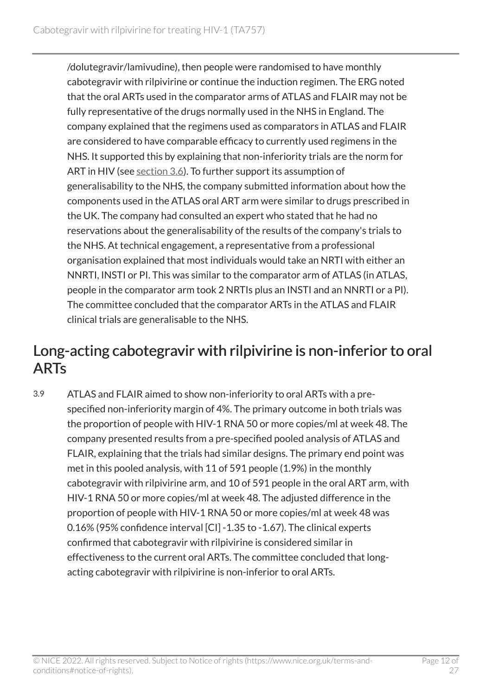/dolutegravir/lamivudine), then people were randomised to have monthly cabotegravir with rilpivirine or continue the induction regimen. The ERG noted that the oral ARTs used in the comparator arms of ATLAS and FLAIR may not be fully representative of the drugs normally used in the NHS in England. The company explained that the regimens used as comparators in ATLAS and FLAIR are considered to have comparable efficacy to currently used regimens in the NHS. It supported this by explaining that non-inferiority trials are the norm for ART in HIV (see [section](#page-9-0) 3.6). To further support its assumption of generalisability to the NHS, the company submitted information about how the components used in the ATLAS oral ART arm were similar to drugs prescribed in the UK. The company had consulted an expert who stated that he had no reservations about the generalisability of the results of the company's trials to the NHS. At technical engagement, a representative from a professional organisation explained that most individuals would take an NRTI with either an NNRTI, INSTI or PI. This was similar to the comparator arm of ATLAS (in ATLAS, people in the comparator arm took 2 NRTIs plus an INSTI and an NNRTI or a PI). The committee concluded that the comparator ARTs in the ATLAS and FLAIR clinical trials are generalisable to the NHS.

#### Long-acting cabotegravir with rilpivirine is non-inferior to oral ARTs

3.9 ATLAS and FLAIR aimed to show non-inferiority to oral ARTs with a prespecified non-inferiority margin of 4%. The primary outcome in both trials was the proportion of people with HIV-1 RNA 50 or more copies/ml at week 48. The company presented results from a pre-specified pooled analysis of ATLAS and FLAIR, explaining that the trials had similar designs. The primary end point was met in this pooled analysis, with 11 of 591 people (1.9%) in the monthly cabotegravir with rilpivirine arm, and 10 of 591 people in the oral ART arm, with HIV-1 RNA 50 or more copies/ml at week 48. The adjusted difference in the proportion of people with HIV-1 RNA 50 or more copies/ml at week 48 was 0.16% (95% confidence interval [CI] -1.35 to -1.67). The clinical experts confirmed that cabotegravir with rilpivirine is considered similar in effectiveness to the current oral ARTs. The committee concluded that longacting cabotegravir with rilpivirine is non-inferior to oral ARTs.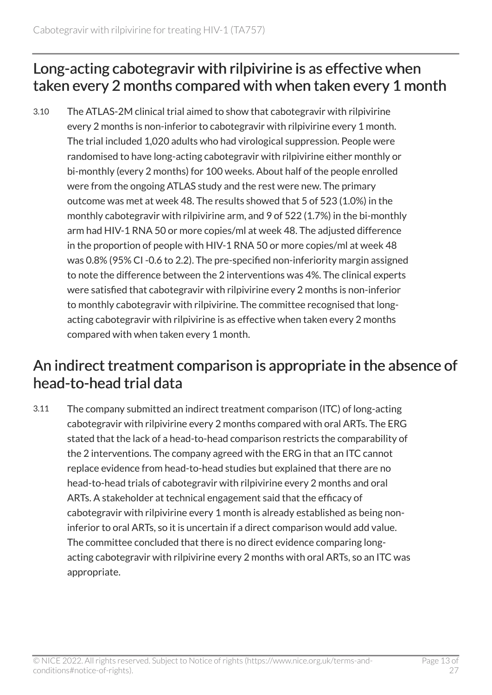#### Long-acting cabotegravir with rilpivirine is as effective when taken every 2 months compared with when taken every 1 month

3.10 The ATLAS-2M clinical trial aimed to show that cabotegravir with rilpivirine every 2 months is non-inferior to cabotegravir with rilpivirine every 1 month. The trial included 1,020 adults who had virological suppression. People were randomised to have long-acting cabotegravir with rilpivirine either monthly or bi-monthly (every 2 months) for 100 weeks. About half of the people enrolled were from the ongoing ATLAS study and the rest were new. The primary outcome was met at week 48. The results showed that 5 of 523 (1.0%) in the monthly cabotegravir with rilpivirine arm, and 9 of 522 (1.7%) in the bi-monthly arm had HIV-1 RNA 50 or more copies/ml at week 48. The adjusted difference in the proportion of people with HIV-1 RNA 50 or more copies/ml at week 48 was 0.8% (95% CI -0.6 to 2.2). The pre-specified non-inferiority margin assigned to note the difference between the 2 interventions was 4%. The clinical experts were satisfied that cabotegravir with rilpivirine every 2 months is non-inferior to monthly cabotegravir with rilpivirine. The committee recognised that longacting cabotegravir with rilpivirine is as effective when taken every 2 months compared with when taken every 1 month.

#### An indirect treatment comparison is appropriate in the absence of head-to-head trial data

3.11 The company submitted an indirect treatment comparison (ITC) of long-acting cabotegravir with rilpivirine every 2 months compared with oral ARTs. The ERG stated that the lack of a head-to-head comparison restricts the comparability of the 2 interventions. The company agreed with the ERG in that an ITC cannot replace evidence from head-to-head studies but explained that there are no head-to-head trials of cabotegravir with rilpivirine every 2 months and oral ARTs. A stakeholder at technical engagement said that the efficacy of cabotegravir with rilpivirine every 1 month is already established as being noninferior to oral ARTs, so it is uncertain if a direct comparison would add value. The committee concluded that there is no direct evidence comparing longacting cabotegravir with rilpivirine every 2 months with oral ARTs, so an ITC was appropriate.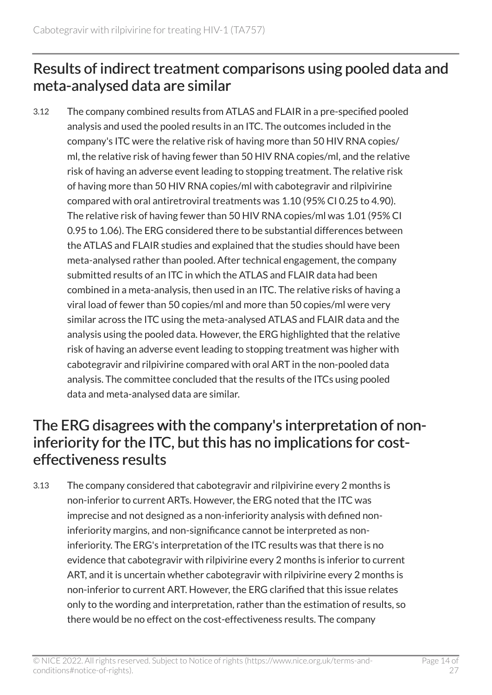### Results of indirect treatment comparisons using pooled data and meta-analysed data are similar

3.12 The company combined results from ATLAS and FLAIR in a pre-specified pooled analysis and used the pooled results in an ITC. The outcomes included in the company's ITC were the relative risk of having more than 50 HIV RNA copies/ ml, the relative risk of having fewer than 50 HIV RNA copies/ml, and the relative risk of having an adverse event leading to stopping treatment. The relative risk of having more than 50 HIV RNA copies/ml with cabotegravir and rilpivirine compared with oral antiretroviral treatments was 1.10 (95% CI 0.25 to 4.90). The relative risk of having fewer than 50 HIV RNA copies/ml was 1.01 (95% CI 0.95 to 1.06). The ERG considered there to be substantial differences between the ATLAS and FLAIR studies and explained that the studies should have been meta-analysed rather than pooled. After technical engagement, the company submitted results of an ITC in which the ATLAS and FLAIR data had been combined in a meta-analysis, then used in an ITC. The relative risks of having a viral load of fewer than 50 copies/ml and more than 50 copies/ml were very similar across the ITC using the meta-analysed ATLAS and FLAIR data and the analysis using the pooled data. However, the ERG highlighted that the relative risk of having an adverse event leading to stopping treatment was higher with cabotegravir and rilpivirine compared with oral ART in the non-pooled data analysis. The committee concluded that the results of the ITCs using pooled data and meta-analysed data are similar.

#### The ERG disagrees with the company's interpretation of noninferiority for the ITC, but this has no implications for costeffectiveness results

3.13 The company considered that cabotegravir and rilpivirine every 2 months is non-inferior to current ARTs. However, the ERG noted that the ITC was imprecise and not designed as a non-inferiority analysis with defined noninferiority margins, and non-significance cannot be interpreted as noninferiority. The ERG's interpretation of the ITC results was that there is no evidence that cabotegravir with rilpivirine every 2 months is inferior to current ART, and it is uncertain whether cabotegravir with rilpivirine every 2 months is non-inferior to current ART. However, the ERG clarified that this issue relates only to the wording and interpretation, rather than the estimation of results, so there would be no effect on the cost-effectiveness results. The company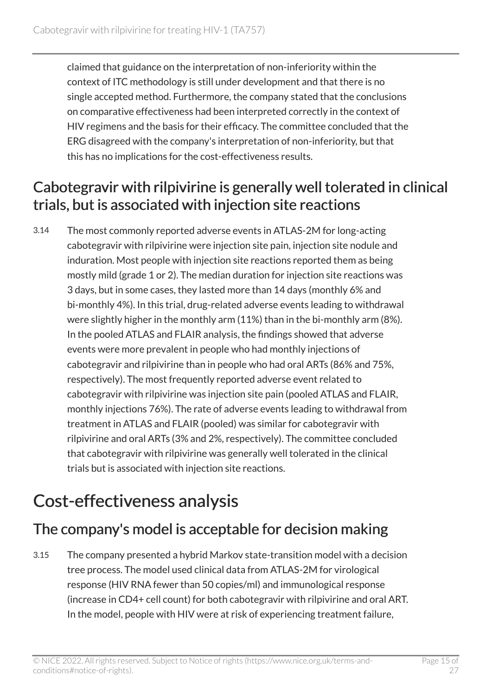claimed that guidance on the interpretation of non-inferiority within the context of ITC methodology is still under development and that there is no single accepted method. Furthermore, the company stated that the conclusions on comparative effectiveness had been interpreted correctly in the context of HIV regimens and the basis for their efficacy. The committee concluded that the ERG disagreed with the company's interpretation of non-inferiority, but that this has no implications for the cost-effectiveness results.

### Cabotegravir with rilpivirine is generally well tolerated in clinical trials, but is associated with injection site reactions

3.14 The most commonly reported adverse events in ATLAS-2M for long-acting cabotegravir with rilpivirine were injection site pain, injection site nodule and induration. Most people with injection site reactions reported them as being mostly mild (grade 1 or 2). The median duration for injection site reactions was 3 days, but in some cases, they lasted more than 14 days (monthly 6% and bi-monthly 4%). In this trial, drug-related adverse events leading to withdrawal were slightly higher in the monthly arm (11%) than in the bi-monthly arm (8%). In the pooled ATLAS and FLAIR analysis, the findings showed that adverse events were more prevalent in people who had monthly injections of cabotegravir and rilpivirine than in people who had oral ARTs (86% and 75%, respectively). The most frequently reported adverse event related to cabotegravir with rilpivirine was injection site pain (pooled ATLAS and FLAIR, monthly injections 76%). The rate of adverse events leading to withdrawal from treatment in ATLAS and FLAIR (pooled) was similar for cabotegravir with rilpivirine and oral ARTs (3% and 2%, respectively). The committee concluded that cabotegravir with rilpivirine was generally well tolerated in the clinical trials but is associated with injection site reactions.

### <span id="page-14-0"></span>Cost-effectiveness analysis

### The company's model is acceptable for decision making

3.15 The company presented a hybrid Markov state-transition model with a decision tree process. The model used clinical data from ATLAS-2M for virological response (HIV RNA fewer than 50 copies/ml) and immunological response (increase in CD4+ cell count) for both cabotegravir with rilpivirine and oral ART. In the model, people with HIV were at risk of experiencing treatment failure,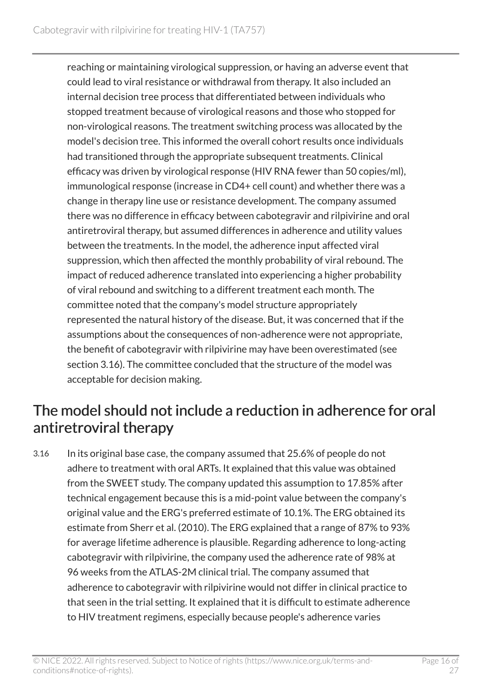reaching or maintaining virological suppression, or having an adverse event that could lead to viral resistance or withdrawal from therapy. It also included an internal decision tree process that differentiated between individuals who stopped treatment because of virological reasons and those who stopped for non-virological reasons. The treatment switching process was allocated by the model's decision tree. This informed the overall cohort results once individuals had transitioned through the appropriate subsequent treatments. Clinical efficacy was driven by virological response (HIV RNA fewer than 50 copies/ml), immunological response (increase in CD4+ cell count) and whether there was a change in therapy line use or resistance development. The company assumed there was no difference in efficacy between cabotegravir and rilpivirine and oral antiretroviral therapy, but assumed differences in adherence and utility values between the treatments. In the model, the adherence input affected viral suppression, which then affected the monthly probability of viral rebound. The impact of reduced adherence translated into experiencing a higher probability of viral rebound and switching to a different treatment each month. The committee noted that the company's model structure appropriately represented the natural history of the disease. But, it was concerned that if the assumptions about the consequences of non-adherence were not appropriate, the benefit of cabotegravir with rilpivirine may have been overestimated (see section 3.16). The committee concluded that the structure of the model was acceptable for decision making.

### <span id="page-15-0"></span>The model should not include a reduction in adherence for oral antiretroviral therapy

3.16 In its original base case, the company assumed that 25.6% of people do not adhere to treatment with oral ARTs. It explained that this value was obtained from the SWEET study. The company updated this assumption to 17.85% after technical engagement because this is a mid-point value between the company's original value and the ERG's preferred estimate of 10.1%. The ERG obtained its estimate from Sherr et al. (2010). The ERG explained that a range of 87% to 93% for average lifetime adherence is plausible. Regarding adherence to long-acting cabotegravir with rilpivirine, the company used the adherence rate of 98% at 96 weeks from the ATLAS-2M clinical trial. The company assumed that adherence to cabotegravir with rilpivirine would not differ in clinical practice to that seen in the trial setting. It explained that it is difficult to estimate adherence to HIV treatment regimens, especially because people's adherence varies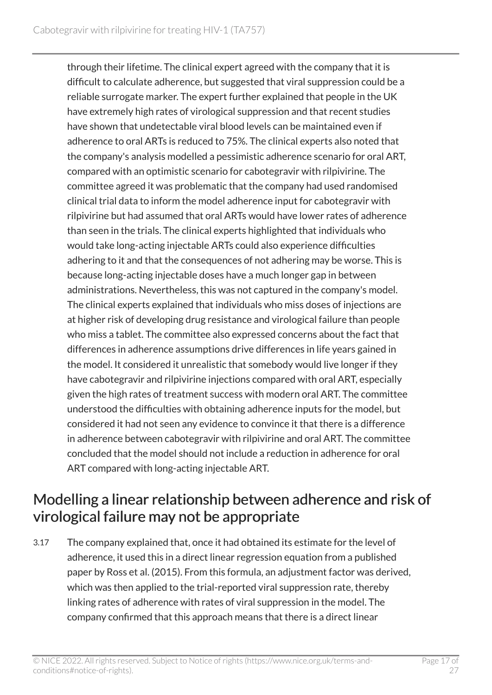through their lifetime. The clinical expert agreed with the company that it is difficult to calculate adherence, but suggested that viral suppression could be a reliable surrogate marker. The expert further explained that people in the UK have extremely high rates of virological suppression and that recent studies have shown that undetectable viral blood levels can be maintained even if adherence to oral ARTs is reduced to 75%. The clinical experts also noted that the company's analysis modelled a pessimistic adherence scenario for oral ART, compared with an optimistic scenario for cabotegravir with rilpivirine. The committee agreed it was problematic that the company had used randomised clinical trial data to inform the model adherence input for cabotegravir with rilpivirine but had assumed that oral ARTs would have lower rates of adherence than seen in the trials. The clinical experts highlighted that individuals who would take long-acting injectable ARTs could also experience difficulties adhering to it and that the consequences of not adhering may be worse. This is because long-acting injectable doses have a much longer gap in between administrations. Nevertheless, this was not captured in the company's model. The clinical experts explained that individuals who miss doses of injections are at higher risk of developing drug resistance and virological failure than people who miss a tablet. The committee also expressed concerns about the fact that differences in adherence assumptions drive differences in life years gained in the model. It considered it unrealistic that somebody would live longer if they have cabotegravir and rilpivirine injections compared with oral ART, especially given the high rates of treatment success with modern oral ART. The committee understood the difficulties with obtaining adherence inputs for the model, but considered it had not seen any evidence to convince it that there is a difference in adherence between cabotegravir with rilpivirine and oral ART. The committee concluded that the model should not include a reduction in adherence for oral ART compared with long-acting injectable ART.

### Modelling a linear relationship between adherence and risk of virological failure may not be appropriate

3.17 The company explained that, once it had obtained its estimate for the level of adherence, it used this in a direct linear regression equation from a published paper by Ross et al. (2015). From this formula, an adjustment factor was derived, which was then applied to the trial-reported viral suppression rate, thereby linking rates of adherence with rates of viral suppression in the model. The company confirmed that this approach means that there is a direct linear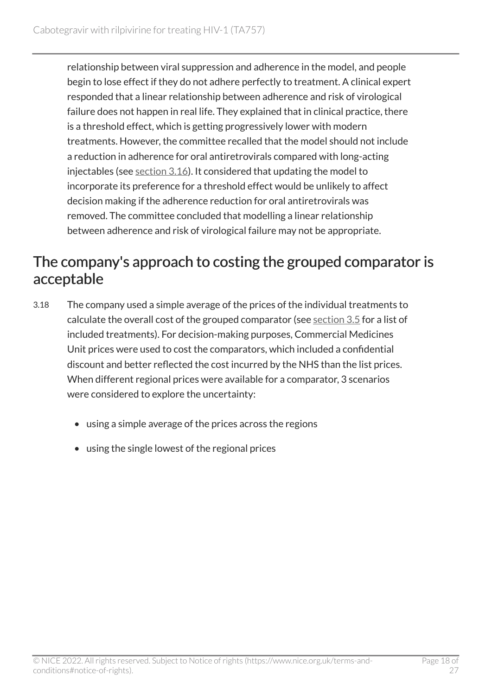relationship between viral suppression and adherence in the model, and people begin to lose effect if they do not adhere perfectly to treatment. A clinical expert responded that a linear relationship between adherence and risk of virological failure does not happen in real life. They explained that in clinical practice, there is a threshold effect, which is getting progressively lower with modern treatments. However, the committee recalled that the model should not include a reduction in adherence for oral antiretrovirals compared with long-acting injectables (see [section](#page-15-0) 3.16). It considered that updating the model to incorporate its preference for a threshold effect would be unlikely to affect decision making if the adherence reduction for oral antiretrovirals was removed. The committee concluded that modelling a linear relationship between adherence and risk of virological failure may not be appropriate.

#### The company's approach to costing the grouped comparator is acceptable

- 3.18 The company used a simple average of the prices of the individual treatments to calculate the overall cost of the grouped comparator (see [section](#page-8-1) 3.5 for a list of included treatments). For decision-making purposes, Commercial Medicines Unit prices were used to cost the comparators, which included a confidential discount and better reflected the cost incurred by the NHS than the list prices. When different regional prices were available for a comparator, 3 scenarios were considered to explore the uncertainty:
	- using a simple average of the prices across the regions
	- using the single lowest of the regional prices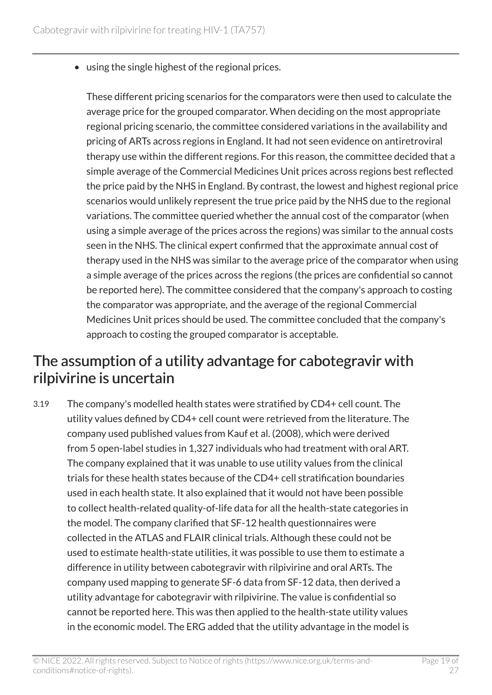• using the single highest of the regional prices.

These different pricing scenarios for the comparators were then used to calculate the average price for the grouped comparator. When deciding on the most appropriate regional pricing scenario, the committee considered variations in the availability and pricing of ARTs across regions in England. It had not seen evidence on antiretroviral therapy use within the different regions. For this reason, the committee decided that a simple average of the Commercial Medicines Unit prices across regions best reflected the price paid by the NHS in England. By contrast, the lowest and highest regional price scenarios would unlikely represent the true price paid by the NHS due to the regional variations. The committee queried whether the annual cost of the comparator (when using a simple average of the prices across the regions) was similar to the annual costs seen in the NHS. The clinical expert confirmed that the approximate annual cost of therapy used in the NHS was similar to the average price of the comparator when using a simple average of the prices across the regions (the prices are confidential so cannot be reported here). The committee considered that the company's approach to costing the comparator was appropriate, and the average of the regional Commercial Medicines Unit prices should be used. The committee concluded that the company's approach to costing the grouped comparator is acceptable.

#### <span id="page-18-0"></span>The assumption of a utility advantage for cabotegravir with rilpivirine is uncertain

3.19 The company's modelled health states were stratified by CD4+ cell count. The utility values defined by CD4+ cell count were retrieved from the literature. The company used published values from Kauf et al. (2008), which were derived from 5 open-label studies in 1,327 individuals who had treatment with oral ART. The company explained that it was unable to use utility values from the clinical trials for these health states because of the CD4+ cell stratification boundaries used in each health state. It also explained that it would not have been possible to collect health-related quality-of-life data for all the health-state categories in the model. The company clarified that SF-12 health questionnaires were collected in the ATLAS and FLAIR clinical trials. Although these could not be used to estimate health-state utilities, it was possible to use them to estimate a difference in utility between cabotegravir with rilpivirine and oral ARTs. The company used mapping to generate SF-6 data from SF-12 data, then derived a utility advantage for cabotegravir with rilpivirine. The value is confidential so cannot be reported here. This was then applied to the health-state utility values in the economic model. The ERG added that the utility advantage in the model is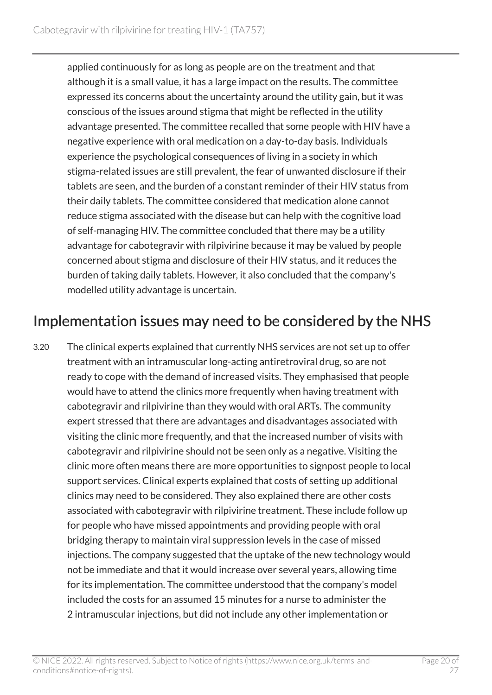applied continuously for as long as people are on the treatment and that although it is a small value, it has a large impact on the results. The committee expressed its concerns about the uncertainty around the utility gain, but it was conscious of the issues around stigma that might be reflected in the utility advantage presented. The committee recalled that some people with HIV have a negative experience with oral medication on a day-to-day basis. Individuals experience the psychological consequences of living in a society in which stigma-related issues are still prevalent, the fear of unwanted disclosure if their tablets are seen, and the burden of a constant reminder of their HIV status from their daily tablets. The committee considered that medication alone cannot reduce stigma associated with the disease but can help with the cognitive load of self-managing HIV. The committee concluded that there may be a utility advantage for cabotegravir with rilpivirine because it may be valued by people concerned about stigma and disclosure of their HIV status, and it reduces the burden of taking daily tablets. However, it also concluded that the company's modelled utility advantage is uncertain.

#### Implementation issues may need to be considered by the NHS

3.20 The clinical experts explained that currently NHS services are not set up to offer treatment with an intramuscular long-acting antiretroviral drug, so are not ready to cope with the demand of increased visits. They emphasised that people would have to attend the clinics more frequently when having treatment with cabotegravir and rilpivirine than they would with oral ARTs. The community expert stressed that there are advantages and disadvantages associated with visiting the clinic more frequently, and that the increased number of visits with cabotegravir and rilpivirine should not be seen only as a negative. Visiting the clinic more often means there are more opportunities to signpost people to local support services. Clinical experts explained that costs of setting up additional clinics may need to be considered. They also explained there are other costs associated with cabotegravir with rilpivirine treatment. These include follow up for people who have missed appointments and providing people with oral bridging therapy to maintain viral suppression levels in the case of missed injections. The company suggested that the uptake of the new technology would not be immediate and that it would increase over several years, allowing time for its implementation. The committee understood that the company's model included the costs for an assumed 15 minutes for a nurse to administer the 2 intramuscular injections, but did not include any other implementation or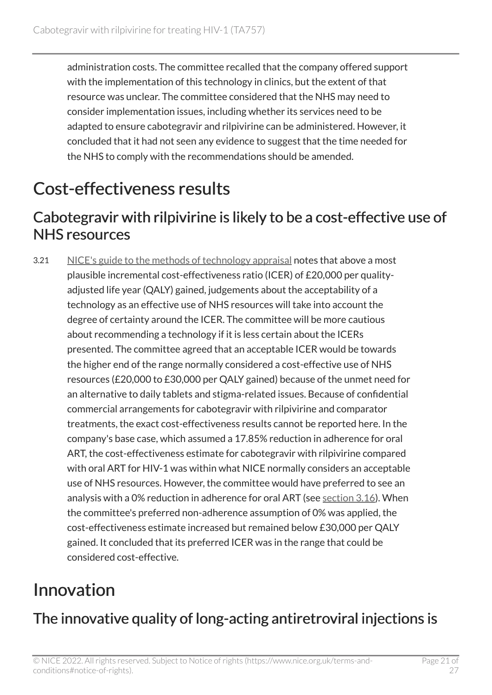administration costs. The committee recalled that the company offered support with the implementation of this technology in clinics, but the extent of that resource was unclear. The committee considered that the NHS may need to consider implementation issues, including whether its services need to be adapted to ensure cabotegravir and rilpivirine can be administered. However, it concluded that it had not seen any evidence to suggest that the time needed for the NHS to comply with the recommendations should be amended.

### <span id="page-20-0"></span>Cost-effectiveness results

#### Cabotegravir with rilpivirine is likely to be a cost-effective use of NHS resources

3.21 [NICE's guide to the methods of technology appraisal](https://www.nice.org.uk/process/pmg9/chapter/the-appraisal-of-the-evidence-and-structured-decision-making) notes that above a most plausible incremental cost-effectiveness ratio (ICER) of £20,000 per qualityadjusted life year (QALY) gained, judgements about the acceptability of a technology as an effective use of NHS resources will take into account the degree of certainty around the ICER. The committee will be more cautious about recommending a technology if it is less certain about the ICERs presented. The committee agreed that an acceptable ICER would be towards the higher end of the range normally considered a cost-effective use of NHS resources (£20,000 to £30,000 per QALY gained) because of the unmet need for an alternative to daily tablets and stigma-related issues. Because of confidential commercial arrangements for cabotegravir with rilpivirine and comparator treatments, the exact cost-effectiveness results cannot be reported here. In the company's base case, which assumed a 17.85% reduction in adherence for oral ART, the cost-effectiveness estimate for cabotegravir with rilpivirine compared with oral ART for HIV-1 was within what NICE normally considers an acceptable use of NHS resources. However, the committee would have preferred to see an analysis with a 0% reduction in adherence for oral ART (see [section](#page-15-0) 3.16). When the committee's preferred non-adherence assumption of 0% was applied, the cost-effectiveness estimate increased but remained below £30,000 per QALY gained. It concluded that its preferred ICER was in the range that could be considered cost-effective.

### <span id="page-20-1"></span>Innovation

### The innovative quality of long-acting antiretroviral injections is

© NICE 2022. All rights reserved. Subject to Notice of rights (https://www.nice.org.uk/terms-andconditions#notice-of-rights).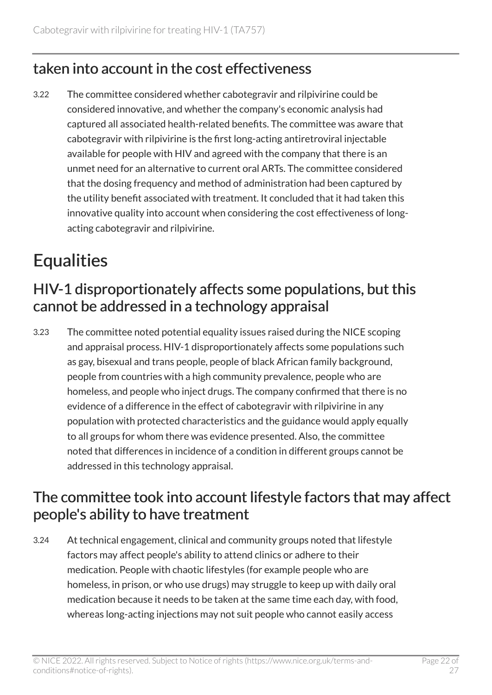### taken into account in the cost effectiveness

3.22 The committee considered whether cabotegravir and rilpivirine could be considered innovative, and whether the company's economic analysis had captured all associated health-related benefits. The committee was aware that cabotegravir with rilpivirine is the first long-acting antiretroviral injectable available for people with HIV and agreed with the company that there is an unmet need for an alternative to current oral ARTs. The committee considered that the dosing frequency and method of administration had been captured by the utility benefit associated with treatment. It concluded that it had taken this innovative quality into account when considering the cost effectiveness of longacting cabotegravir and rilpivirine.

### <span id="page-21-0"></span>**Equalities**

### <span id="page-21-1"></span>HIV-1 disproportionately affects some populations, but this cannot be addressed in a technology appraisal

3.23 The committee noted potential equality issues raised during the NICE scoping and appraisal process. HIV-1 disproportionately affects some populations such as gay, bisexual and trans people, people of black African family background, people from countries with a high community prevalence, people who are homeless, and people who inject drugs. The company confirmed that there is no evidence of a difference in the effect of cabotegravir with rilpivirine in any population with protected characteristics and the guidance would apply equally to all groups for whom there was evidence presented. Also, the committee noted that differences in incidence of a condition in different groups cannot be addressed in this technology appraisal.

### The committee took into account lifestyle factors that may affect people's ability to have treatment

3.24 At technical engagement, clinical and community groups noted that lifestyle factors may affect people's ability to attend clinics or adhere to their medication. People with chaotic lifestyles (for example people who are homeless, in prison, or who use drugs) may struggle to keep up with daily oral medication because it needs to be taken at the same time each day, with food, whereas long-acting injections may not suit people who cannot easily access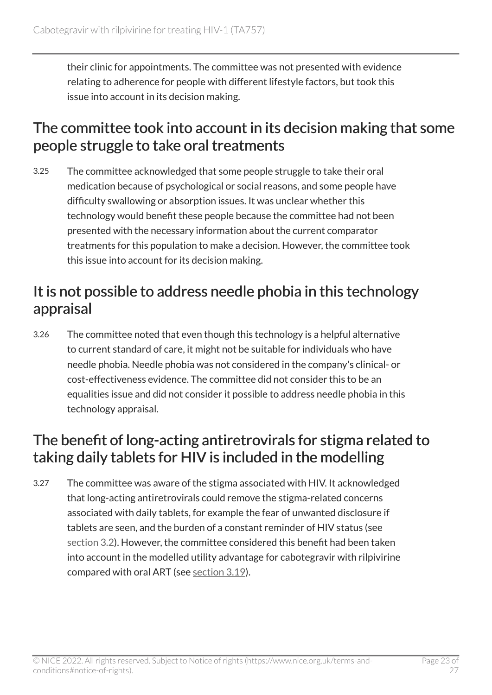their clinic for appointments. The committee was not presented with evidence relating to adherence for people with different lifestyle factors, but took this issue into account in its decision making.

#### The committee took into account in its decision making that some people struggle to take oral treatments

3.25 The committee acknowledged that some people struggle to take their oral medication because of psychological or social reasons, and some people have difficulty swallowing or absorption issues. It was unclear whether this technology would benefit these people because the committee had not been presented with the necessary information about the current comparator treatments for this population to make a decision. However, the committee took this issue into account for its decision making.

#### It is not possible to address needle phobia in this technology appraisal

3.26 The committee noted that even though this technology is a helpful alternative to current standard of care, it might not be suitable for individuals who have needle phobia. Needle phobia was not considered in the company's clinical- or cost-effectiveness evidence. The committee did not consider this to be an equalities issue and did not consider it possible to address needle phobia in this technology appraisal.

#### The benefit of long-acting antiretrovirals for stigma related to taking daily tablets for HIV is included in the modelling

3.27 The committee was aware of the stigma associated with HIV. It acknowledged that long-acting antiretrovirals could remove the stigma-related concerns associated with daily tablets, for example the fear of unwanted disclosure if tablets are seen, and the burden of a constant reminder of HIV status (see [section](#page-6-0) 3.2). However, the committee considered this benefit had been taken into account in the modelled utility advantage for cabotegravir with rilpivirine compared with oral ART (see [section](#page-18-0) 3.19).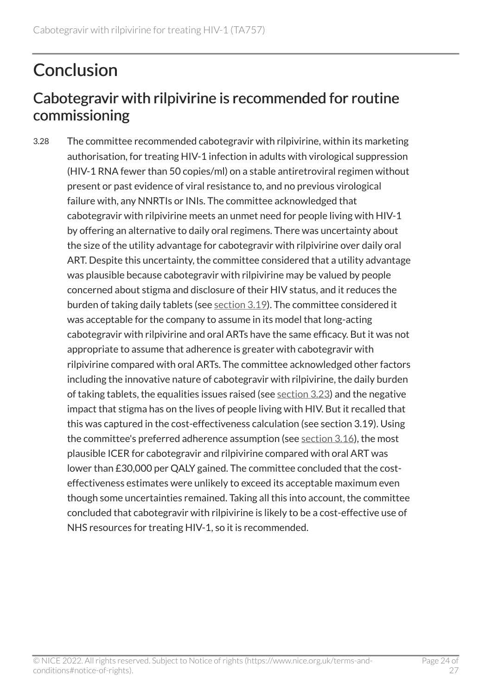### <span id="page-23-0"></span>**Conclusion**

### Cabotegravir with rilpivirine is recommended for routine commissioning

3.28 The committee recommended cabotegravir with rilpivirine, within its marketing authorisation, for treating HIV-1 infection in adults with virological suppression (HIV-1 RNA fewer than 50 copies/ml) on a stable antiretroviral regimen without present or past evidence of viral resistance to, and no previous virological failure with, any NNRTIs or INIs. The committee acknowledged that cabotegravir with rilpivirine meets an unmet need for people living with HIV-1 by offering an alternative to daily oral regimens. There was uncertainty about the size of the utility advantage for cabotegravir with rilpivirine over daily oral ART. Despite this uncertainty, the committee considered that a utility advantage was plausible because cabotegravir with rilpivirine may be valued by people concerned about stigma and disclosure of their HIV status, and it reduces the burden of taking daily tablets (see [section](#page-18-0) 3.19). The committee considered it was acceptable for the company to assume in its model that long-acting cabotegravir with rilpivirine and oral ARTs have the same efficacy. But it was not appropriate to assume that adherence is greater with cabotegravir with rilpivirine compared with oral ARTs. The committee acknowledged other factors including the innovative nature of cabotegravir with rilpivirine, the daily burden of taking tablets, the equalities issues raised (see [section](#page-21-1) 3.23) and the negative impact that stigma has on the lives of people living with HIV. But it recalled that this was captured in the cost-effectiveness calculation (see section 3.19). Using the committee's preferred adherence assumption (see [section](#page-15-0) 3.16), the most plausible ICER for cabotegravir and rilpivirine compared with oral ART was lower than £30,000 per QALY gained. The committee concluded that the costeffectiveness estimates were unlikely to exceed its acceptable maximum even though some uncertainties remained. Taking all this into account, the committee concluded that cabotegravir with rilpivirine is likely to be a cost-effective use of NHS resources for treating HIV-1, so it is recommended.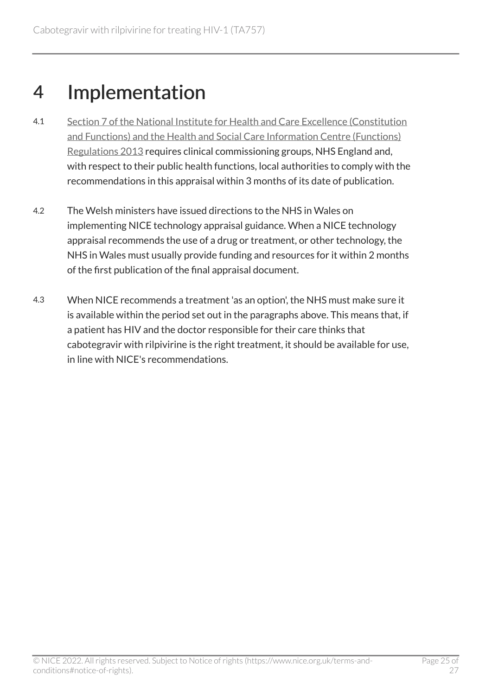### <span id="page-24-0"></span>4 Implementation

- 4.1 [Section 7 of the National Institute for Health and Care Excellence \(Constitution](http://www.legislation.gov.uk/uksi/2013/259/contents/made)  [and Functions\) and the Health and Social Care Information Centre \(Functions\)](http://www.legislation.gov.uk/uksi/2013/259/contents/made) [Regulations 2013](http://www.legislation.gov.uk/uksi/2013/259/contents/made) requires clinical commissioning groups, NHS England and, with respect to their public health functions, local authorities to comply with the recommendations in this appraisal within 3 months of its date of publication.
- 4.2 The Welsh ministers have issued directions to the NHS in Wales on implementing NICE technology appraisal guidance. When a NICE technology appraisal recommends the use of a drug or treatment, or other technology, the NHS in Wales must usually provide funding and resources for it within 2 months of the first publication of the final appraisal document.
- 4.3 When NICE recommends a treatment 'as an option', the NHS must make sure it is available within the period set out in the paragraphs above. This means that, if a patient has HIV and the doctor responsible for their care thinks that cabotegravir with rilpivirine is the right treatment, it should be available for use, in line with NICE's recommendations.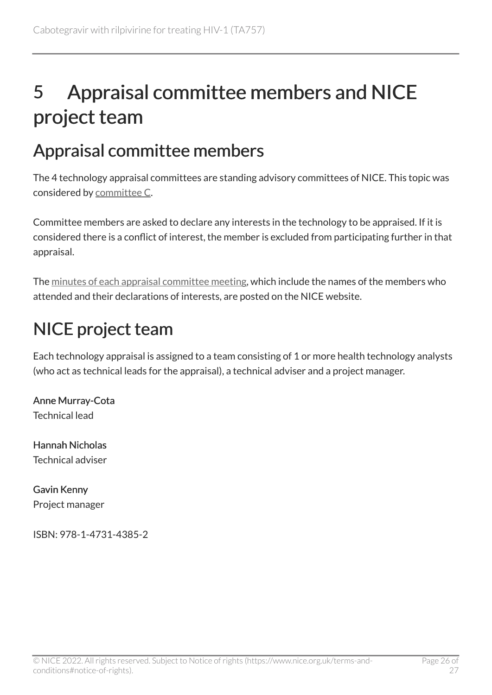## <span id="page-25-0"></span>5 Appraisal committee members and NICE project team

### <span id="page-25-1"></span>Appraisal committee members

The 4 technology appraisal committees are standing advisory committees of NICE. This topic was considered by [committee](https://www.nice.org.uk/get-involved/meetings-in-public/technology-appraisal-committee/committee-c-members) C.

Committee members are asked to declare any interests in the technology to be appraised. If it is considered there is a conflict of interest, the member is excluded from participating further in that appraisal.

The [minutes of each appraisal committee meeting](https://www.nice.org.uk/get-involved/meetings-in-public/technology-appraisal-committee), which include the names of the members who attended and their declarations of interests, are posted on the NICE website.

### <span id="page-25-2"></span>NICE project team

Each technology appraisal is assigned to a team consisting of 1 or more health technology analysts (who act as technical leads for the appraisal), a technical adviser and a project manager.

Anne Murray-Cota Technical lead

Hannah Nicholas Technical adviser

Gavin Kenny Project manager

ISBN: 978-1-4731-4385-2